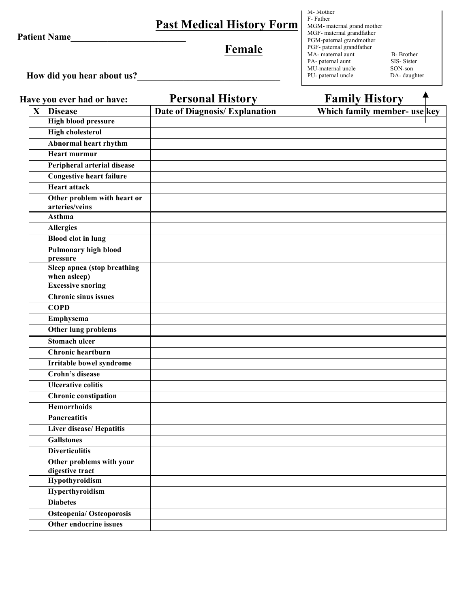**Patient Name**\_\_\_\_\_\_\_\_\_\_\_\_\_\_\_\_\_\_\_\_\_\_\_\_\_

# **Past Medical History Form**

# **Female**

M- Mother F- Father MGM- maternal grand mother MGF- maternal grandfather PGM-paternal grandmother PGF- paternal grandfather MA- maternal aunt B- Brother<br>
PA- paternal aunt SIS- Sister PA- paternal aunt SIS- Siste<br>MU-maternal uncle SON-son MU-maternal uncle<br>
PU- paternal uncle<br>
DA- daughter PU- paternal uncle

 **How did you hear about us?\_\_\_\_\_\_\_\_\_\_\_\_\_\_\_\_\_\_\_\_\_\_\_\_\_\_\_\_\_\_\_**

|              | Have you ever had or have:                    | <b>Personal History</b>               | <b>Family History</b>        |
|--------------|-----------------------------------------------|---------------------------------------|------------------------------|
| $\mathbf{X}$ | <b>Disease</b>                                | <b>Date of Diagnosis/ Explanation</b> | Which family member- use key |
|              | <b>High blood pressure</b>                    |                                       |                              |
|              | <b>High cholesterol</b>                       |                                       |                              |
|              | Abnormal heart rhythm                         |                                       |                              |
|              | <b>Heart murmur</b>                           |                                       |                              |
|              | Peripheral arterial disease                   |                                       |                              |
|              | <b>Congestive heart failure</b>               |                                       |                              |
|              | <b>Heart attack</b>                           |                                       |                              |
|              | Other problem with heart or<br>arteries/veins |                                       |                              |
|              | Asthma                                        |                                       |                              |
|              | <b>Allergies</b>                              |                                       |                              |
|              | <b>Blood clot in lung</b>                     |                                       |                              |
|              | <b>Pulmonary high blood</b><br>pressure       |                                       |                              |
|              | Sleep apnea (stop breathing<br>when asleep)   |                                       |                              |
|              | <b>Excessive snoring</b>                      |                                       |                              |
|              | <b>Chronic sinus issues</b>                   |                                       |                              |
|              | <b>COPD</b>                                   |                                       |                              |
|              | Emphysema                                     |                                       |                              |
|              | Other lung problems                           |                                       |                              |
|              | <b>Stomach ulcer</b>                          |                                       |                              |
|              | Chronic heartburn                             |                                       |                              |
|              | Irritable bowel syndrome                      |                                       |                              |
|              | Crohn's disease                               |                                       |                              |
|              | <b>Ulcerative colitis</b>                     |                                       |                              |
|              | <b>Chronic constipation</b>                   |                                       |                              |
|              | <b>Hemorrhoids</b>                            |                                       |                              |
|              | <b>Pancreatitis</b>                           |                                       |                              |
|              | <b>Liver disease/ Hepatitis</b>               |                                       |                              |
|              | <b>Gallstones</b>                             |                                       |                              |
|              | <b>Diverticulitis</b>                         |                                       |                              |
|              | Other problems with your<br>digestive tract   |                                       |                              |
|              | Hypothyroidism                                |                                       |                              |
|              | Hyperthyroidism                               |                                       |                              |
|              | <b>Diabetes</b>                               |                                       |                              |
|              | <b>Osteopenia/Osteoporosis</b>                |                                       |                              |
|              | Other endocrine issues                        |                                       |                              |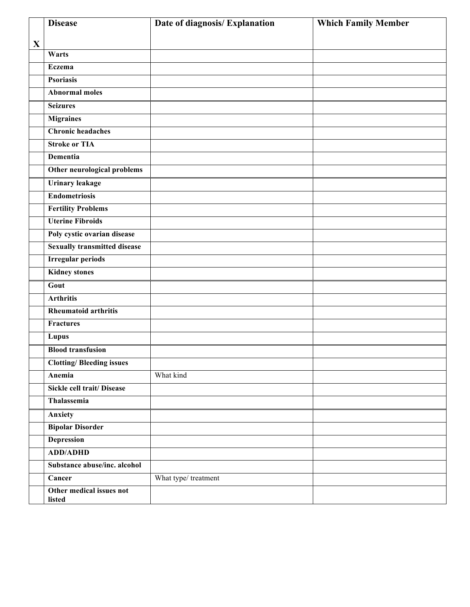|             | <b>Disease</b>                      | Date of diagnosis/ Explanation | <b>Which Family Member</b> |
|-------------|-------------------------------------|--------------------------------|----------------------------|
| $\mathbf X$ |                                     |                                |                            |
|             | Warts                               |                                |                            |
|             | <b>Eczema</b>                       |                                |                            |
|             | <b>Psoriasis</b>                    |                                |                            |
|             | <b>Abnormal moles</b>               |                                |                            |
|             | <b>Seizures</b>                     |                                |                            |
|             | <b>Migraines</b>                    |                                |                            |
|             | <b>Chronic headaches</b>            |                                |                            |
|             | <b>Stroke or TIA</b>                |                                |                            |
|             | <b>Dementia</b>                     |                                |                            |
|             | Other neurological problems         |                                |                            |
|             | <b>Urinary leakage</b>              |                                |                            |
|             | <b>Endometriosis</b>                |                                |                            |
|             | <b>Fertility Problems</b>           |                                |                            |
|             | <b>Uterine Fibroids</b>             |                                |                            |
|             | Poly cystic ovarian disease         |                                |                            |
|             | <b>Sexually transmitted disease</b> |                                |                            |
|             | <b>Irregular periods</b>            |                                |                            |
|             | <b>Kidney stones</b>                |                                |                            |
|             | Gout                                |                                |                            |
|             | <b>Arthritis</b>                    |                                |                            |
|             | <b>Rheumatoid arthritis</b>         |                                |                            |
|             | <b>Fractures</b>                    |                                |                            |
|             | Lupus                               |                                |                            |
|             | <b>Blood transfusion</b>            |                                |                            |
|             | <b>Clotting/Bleeding issues</b>     |                                |                            |
|             | Anemia                              | What kind                      |                            |
|             | <b>Sickle cell trait/ Disease</b>   |                                |                            |
|             | Thalassemia                         |                                |                            |
|             | Anxiety                             |                                |                            |
|             | <b>Bipolar Disorder</b>             |                                |                            |
|             | <b>Depression</b>                   |                                |                            |
|             | <b>ADD/ADHD</b>                     |                                |                            |
|             | Substance abuse/inc. alcohol        |                                |                            |
|             | Cancer                              | What type/ treatment           |                            |
|             | Other medical issues not<br>listed  |                                |                            |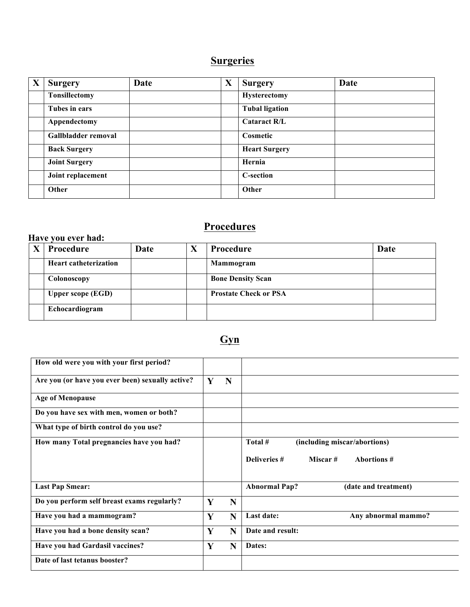#### **Surgeries**

| X | <b>Surgery</b>       | Date | X | <b>Surgery</b>        | Date |
|---|----------------------|------|---|-----------------------|------|
|   | <b>Tonsillectomy</b> |      |   | <b>Hysterectomy</b>   |      |
|   | Tubes in ears        |      |   | <b>Tubal ligation</b> |      |
|   | Appendectomy         |      |   | <b>Cataract R/L</b>   |      |
|   | Gallbladder removal  |      |   | Cosmetic              |      |
|   | <b>Back Surgery</b>  |      |   | <b>Heart Surgery</b>  |      |
|   | <b>Joint Surgery</b> |      |   | Hernia                |      |
|   | Joint replacement    |      |   | <b>C-section</b>      |      |
|   | Other                |      |   | Other                 |      |

#### **Procedures**

#### **Have you ever had:**

| <b>Procedure</b>             | Date | X | <b>Procedure</b>             | Date |
|------------------------------|------|---|------------------------------|------|
| <b>Heart catheterization</b> |      |   | Mammogram                    |      |
| Colonoscopy                  |      |   | <b>Bone Density Scan</b>     |      |
| <b>Upper scope (EGD)</b>     |      |   | <b>Prostate Check or PSA</b> |      |
| Echocardiogram               |      |   |                              |      |

#### **Gyn**

| How old were you with your first period?         |   |   |                                              |
|--------------------------------------------------|---|---|----------------------------------------------|
|                                                  |   |   |                                              |
| Are you (or have you ever been) sexually active? | Y | N |                                              |
|                                                  |   |   |                                              |
| <b>Age of Menopause</b>                          |   |   |                                              |
|                                                  |   |   |                                              |
| Do you have sex with men, women or both?         |   |   |                                              |
|                                                  |   |   |                                              |
| What type of birth control do you use?           |   |   |                                              |
|                                                  |   |   |                                              |
| How many Total pregnancies have you had?         |   |   | Total #<br>(including miscar/abortions)      |
|                                                  |   |   |                                              |
|                                                  |   |   |                                              |
|                                                  |   |   | Deliveries #<br>Miscar #<br>Abortions #      |
|                                                  |   |   |                                              |
|                                                  |   |   |                                              |
| <b>Last Pap Smear:</b>                           |   |   | <b>Abnormal Pap?</b><br>(date and treatment) |
|                                                  |   |   |                                              |
| Do you perform self breast exams regularly?      | Y | N |                                              |
|                                                  |   |   |                                              |
| Have you had a mammogram?                        | Y | N | Last date:<br>Any abnormal mammo?            |
|                                                  |   |   |                                              |
| Have you had a bone density scan?                | Y | N | Date and result:                             |
|                                                  |   |   |                                              |
| Have you had Gardasil vaccines?                  | Y | N | Dates:                                       |
|                                                  |   |   |                                              |
| Date of last tetanus booster?                    |   |   |                                              |
|                                                  |   |   |                                              |
|                                                  |   |   |                                              |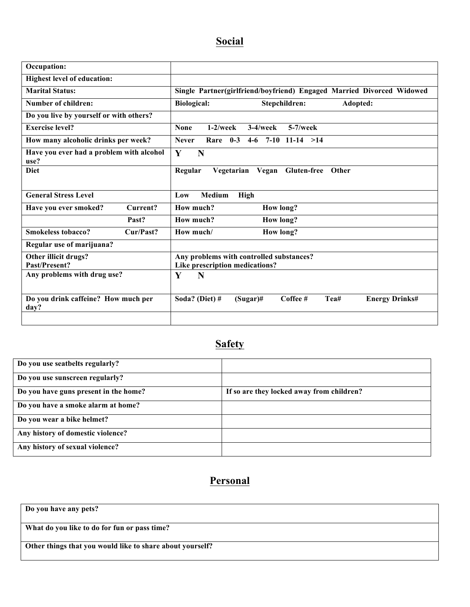## **Social**

| Occupation:                                      |                                                                            |  |  |
|--------------------------------------------------|----------------------------------------------------------------------------|--|--|
| <b>Highest level of education:</b>               |                                                                            |  |  |
| <b>Marital Status:</b>                           | Single Partner(girlfriend/boyfriend) Engaged Married Divorced Widowed      |  |  |
| <b>Number of children:</b>                       | <b>Biological:</b><br>Stepchildren:<br>Adopted:                            |  |  |
| Do you live by yourself or with others?          |                                                                            |  |  |
| <b>Exercise level?</b>                           | $3-4$ /week<br>$5-7$ /week<br><b>None</b><br>$1-2$ /week                   |  |  |
| How many alcoholic drinks per week?              | <b>Never</b><br>Rare $0-3$ 4-6 7-10 11-14 >14                              |  |  |
| Have you ever had a problem with alcohol<br>use? | Y<br>N                                                                     |  |  |
| <b>Diet</b>                                      | Regular<br>Vegetarian<br>Vegan Gluten-free<br>Other                        |  |  |
| <b>General Stress Level</b>                      | <b>Medium</b><br>Low<br><b>High</b>                                        |  |  |
| Current?<br>Have you ever smoked?                | How much?<br><b>How long?</b>                                              |  |  |
| Past?                                            | How much?<br><b>How long?</b>                                              |  |  |
| <b>Smokeless tobacco?</b><br>Cur/Past?           | How much/<br><b>How long?</b>                                              |  |  |
| Regular use of marijuana?                        |                                                                            |  |  |
| Other illicit drugs?<br>Past/Present?            | Any problems with controlled substances?<br>Like prescription medications? |  |  |
| Any problems with drug use?                      | Y<br>N                                                                     |  |  |
| Do you drink caffeine? How much per<br>day?      | Soda? (Diet) #<br>Coffee #<br>Tea#<br><b>Energy Drinks#</b><br>$(Sugar)$ # |  |  |
|                                                  |                                                                            |  |  |

## **Safety**

| Do you use seatbelts regularly?       |                                           |
|---------------------------------------|-------------------------------------------|
| Do you use sunscreen regularly?       |                                           |
| Do you have guns present in the home? | If so are they locked away from children? |
| Do you have a smoke alarm at home?    |                                           |
| Do you wear a bike helmet?            |                                           |
| Any history of domestic violence?     |                                           |
| Any history of sexual violence?       |                                           |

#### **Personal**

| Do you have any pets?                                     |
|-----------------------------------------------------------|
|                                                           |
|                                                           |
|                                                           |
| What do you like to do for fun or pass time?              |
|                                                           |
|                                                           |
| Other things that you would like to share about yourself? |
|                                                           |
|                                                           |
|                                                           |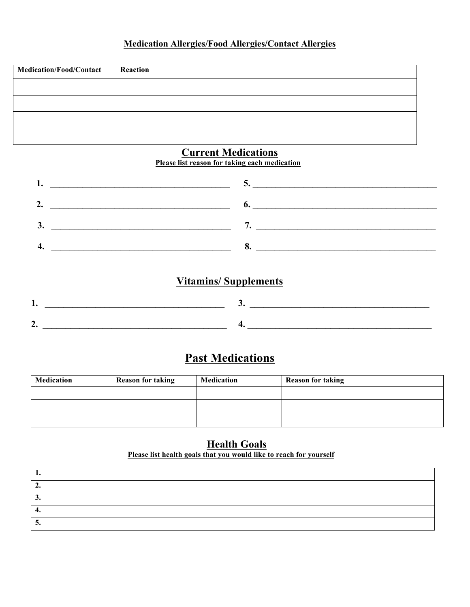#### **Medication Allergies/Food Allergies/Contact Allergies**

| <b>Medication/Food/Contact</b> | Reaction |
|--------------------------------|----------|
|                                |          |
|                                |          |
|                                |          |
|                                |          |

#### **Current Medications**

**Please list reason for taking each medication**

| J. |  |
|----|--|
|    |  |

#### **Vitamins/ Supplements**

## **Past Medications**

| Medication | <b>Reason for taking</b> | Medication | <b>Reason for taking</b> |
|------------|--------------------------|------------|--------------------------|
|            |                          |            |                          |
|            |                          |            |                          |
|            |                          |            |                          |

**Health Goals Please list health goals that you would like to reach for yourself**

| ◠<br>٠. |  |
|---------|--|
| ◠<br>◡. |  |
| 4.      |  |
| -<br>ີ  |  |